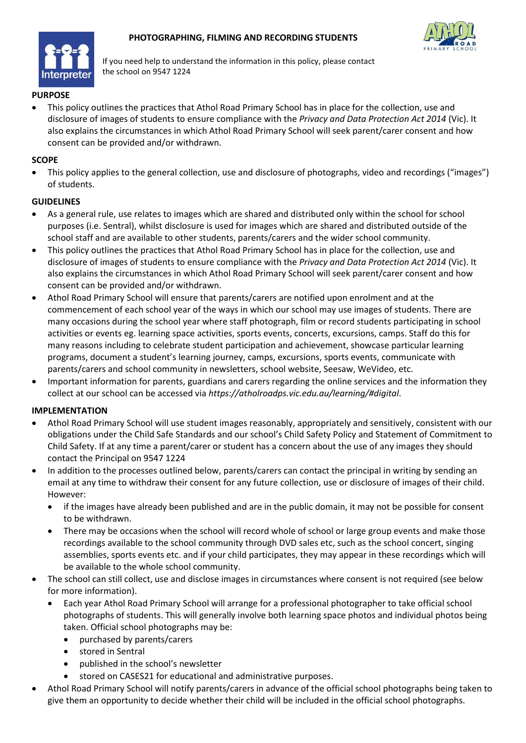



If you need help to understand the information in this policy, please contact the school on 9547 1224

## **PURPOSE**

• This policy outlines the practices that Athol Road Primary School has in place for the collection, use and disclosure of images of students to ensure compliance with the *Privacy and Data Protection Act 2014* (Vic). It also explains the circumstances in which Athol Road Primary School will seek parent/carer consent and how consent can be provided and/or withdrawn.

### **SCOPE**

• This policy applies to the general collection, use and disclosure of photographs, video and recordings ("images") of students.

## **GUIDELINES**

- As a general rule, use relates to images which are shared and distributed only within the school for school purposes (i.e. Sentral), whilst disclosure is used for images which are shared and distributed outside of the school staff and are available to other students, parents/carers and the wider school community.
- This policy outlines the practices that Athol Road Primary School has in place for the collection, use and disclosure of images of students to ensure compliance with the *Privacy and Data Protection Act 2014* (Vic). It also explains the circumstances in which Athol Road Primary School will seek parent/carer consent and how consent can be provided and/or withdrawn.
- Athol Road Primary School will ensure that parents/carers are notified upon enrolment and at the commencement of each school year of the ways in which our school may use images of students. There are many occasions during the school year where staff photograph, film or record students participating in school activities or events eg. learning space activities, sports events, concerts, excursions, camps. Staff do this for many reasons including to celebrate student participation and achievement, showcase particular learning programs, document a student's learning journey, camps, excursions, sports events, communicate with parents/carers and school community in newsletters, school website, Seesaw, WeVideo, etc.
- Important information for parents, guardians and carers regarding the online services and the information they collect at our school can be accessed via *https://atholroadps.vic.edu.au/learning/#digital*.

## **IMPLEMENTATION**

- Athol Road Primary School will use student images reasonably, appropriately and sensitively, consistent with our obligations under the Child Safe Standards and our school's Child Safety Policy and Statement of Commitment to Child Safety. If at any time a parent/carer or student has a concern about the use of any images they should contact the Principal on 9547 1224
- In addition to the processes outlined below, parents/carers can contact the principal in writing by sending an email at any time to withdraw their consent for any future collection, use or disclosure of images of their child. However:
	- if the images have already been published and are in the public domain, it may not be possible for consent to be withdrawn.
	- There may be occasions when the school will record whole of school or large group events and make those recordings available to the school community through DVD sales etc, such as the school concert, singing assemblies, sports events etc. and if your child participates, they may appear in these recordings which will be available to the whole school community.
- The school can still collect, use and disclose images in circumstances where consent is not required (see below for more information).
	- Each year Athol Road Primary School will arrange for a professional photographer to take official school photographs of students. This will generally involve both learning space photos and individual photos being taken. Official school photographs may be:
		- purchased by parents/carers
		- stored in Sentral
		- published in the school's newsletter
		- stored on CASES21 for educational and administrative purposes.
- Athol Road Primary School will notify parents/carers in advance of the official school photographs being taken to give them an opportunity to decide whether their child will be included in the official school photographs.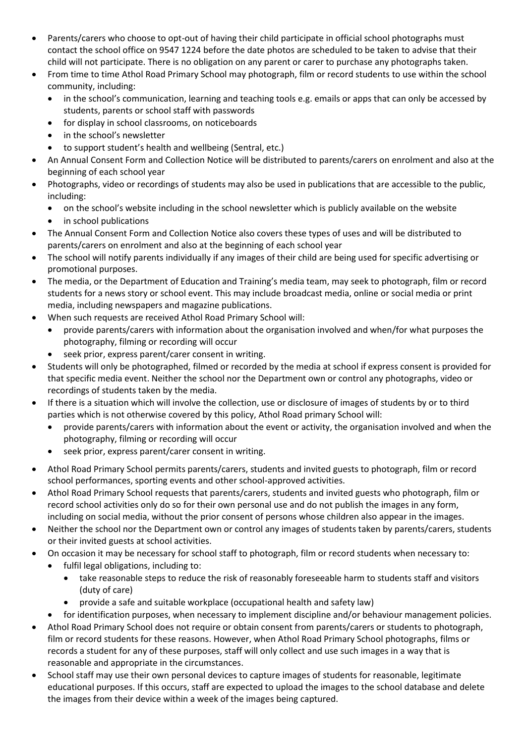- Parents/carers who choose to opt-out of having their child participate in official school photographs must contact the school office on 9547 1224 before the date photos are scheduled to be taken to advise that their child will not participate. There is no obligation on any parent or carer to purchase any photographs taken.
- From time to time Athol Road Primary School may photograph, film or record students to use within the school community, including:
	- in the school's communication, learning and teaching tools e.g. emails or apps that can only be accessed by students, parents or school staff with passwords
	- for display in school classrooms, on noticeboards
	- in the school's newsletter
	- to support student's health and wellbeing (Sentral, etc.)
- An Annual Consent Form and Collection Notice will be distributed to parents/carers on enrolment and also at the beginning of each school year
- Photographs, video or recordings of students may also be used in publications that are accessible to the public, including:
	- on the school's website including in the school newsletter which is publicly available on the website
	- in school publications
- The Annual Consent Form and Collection Notice also covers these types of uses and will be distributed to parents/carers on enrolment and also at the beginning of each school year
- The school will notify parents individually if any images of their child are being used for specific advertising or promotional purposes.
- The media, or the Department of Education and Training's media team, may seek to photograph, film or record students for a news story or school event. This may include broadcast media, online or social media or print media, including newspapers and magazine publications.
- When such requests are received Athol Road Primary School will:
	- provide parents/carers with information about the organisation involved and when/for what purposes the photography, filming or recording will occur
	- seek prior, express parent/carer consent in writing.
- Students will only be photographed, filmed or recorded by the media at school if express consent is provided for that specific media event. Neither the school nor the Department own or control any photographs, video or recordings of students taken by the media.
- If there is a situation which will involve the collection, use or disclosure of images of students by or to third parties which is not otherwise covered by this policy, Athol Road primary School will:
	- provide parents/carers with information about the event or activity, the organisation involved and when the photography, filming or recording will occur
	- seek prior, express parent/carer consent in writing.
- Athol Road Primary School permits parents/carers, students and invited guests to photograph, film or record school performances, sporting events and other school-approved activities.
- Athol Road Primary School requests that parents/carers, students and invited guests who photograph, film or record school activities only do so for their own personal use and do not publish the images in any form, including on social media, without the prior consent of persons whose children also appear in the images.
- Neither the school nor the Department own or control any images of students taken by parents/carers, students or their invited guests at school activities.
- On occasion it may be necessary for school staff to photograph, film or record students when necessary to:
	- fulfil legal obligations, including to:
		- take reasonable steps to reduce the risk of reasonably foreseeable harm to students staff and visitors (duty of care)
		- provide a safe and suitable workplace (occupational health and safety law)
		- for identification purposes, when necessary to implement discipline and/or behaviour management policies.
- Athol Road Primary School does not require or obtain consent from parents/carers or students to photograph, film or record students for these reasons. However, when Athol Road Primary School photographs, films or records a student for any of these purposes, staff will only collect and use such images in a way that is reasonable and appropriate in the circumstances.
- School staff may use their own personal devices to capture images of students for reasonable, legitimate educational purposes. If this occurs, staff are expected to upload the images to the school database and delete the images from their device within a week of the images being captured.